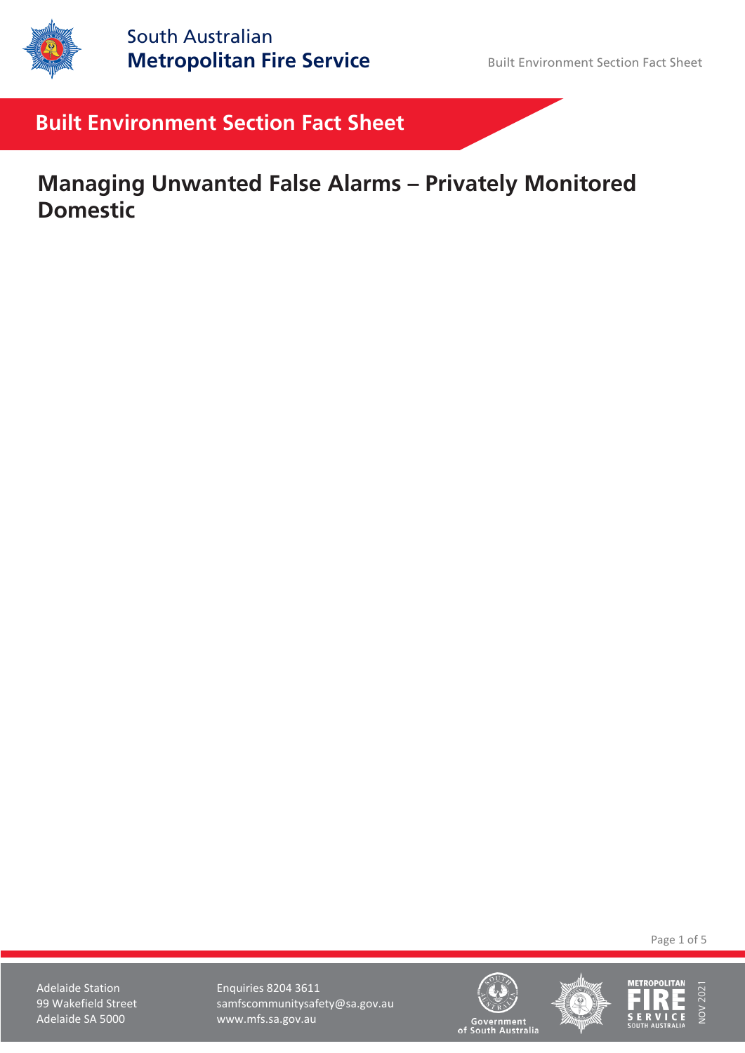

# **Built Environment Section Fact Sheet**

**Managing Unwanted False Alarms – Privately Monitored Domestic**

Page 1 of 5

Adelaide Station **Enquiries 8204 3611** 99 Wakefield Street samfscommunitysafety@sa.gov.au Adelaide SA 5000 www.mfs.sa.gov.au





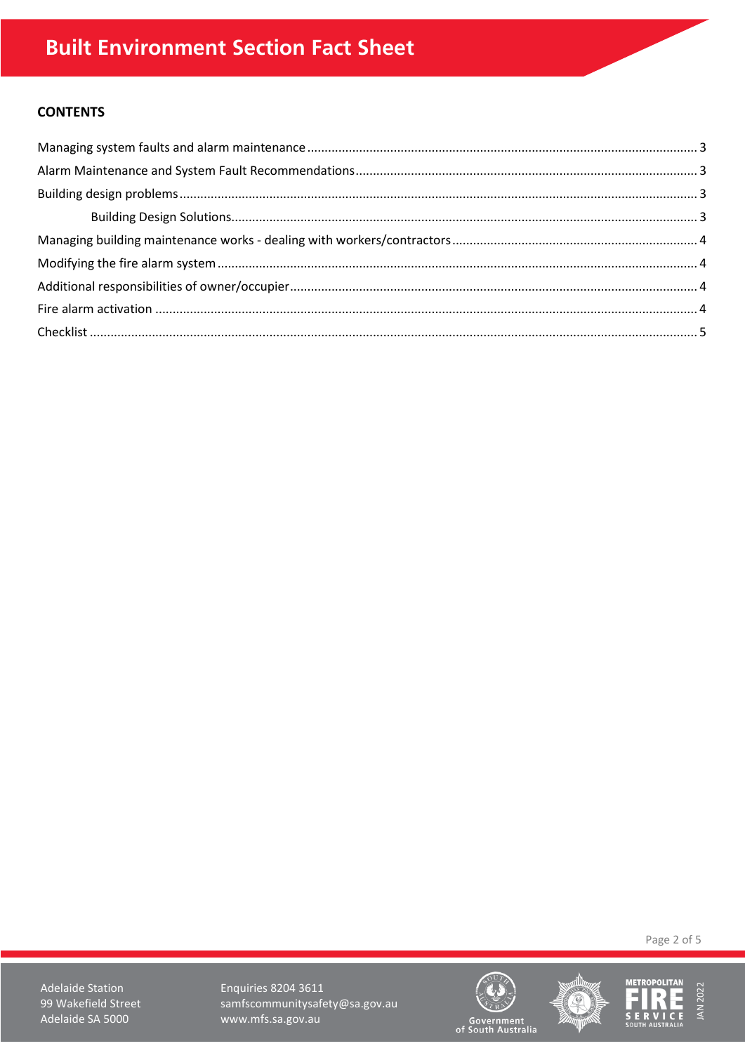# **CONTENTS**

Page 2 of 5

**Adelaide Station** 99 Wakefield Street Adelaide SA 5000

**Enquiries 8204 3611** samfscommunitysafety@sa.gov.au www.mfs.sa.gov.au





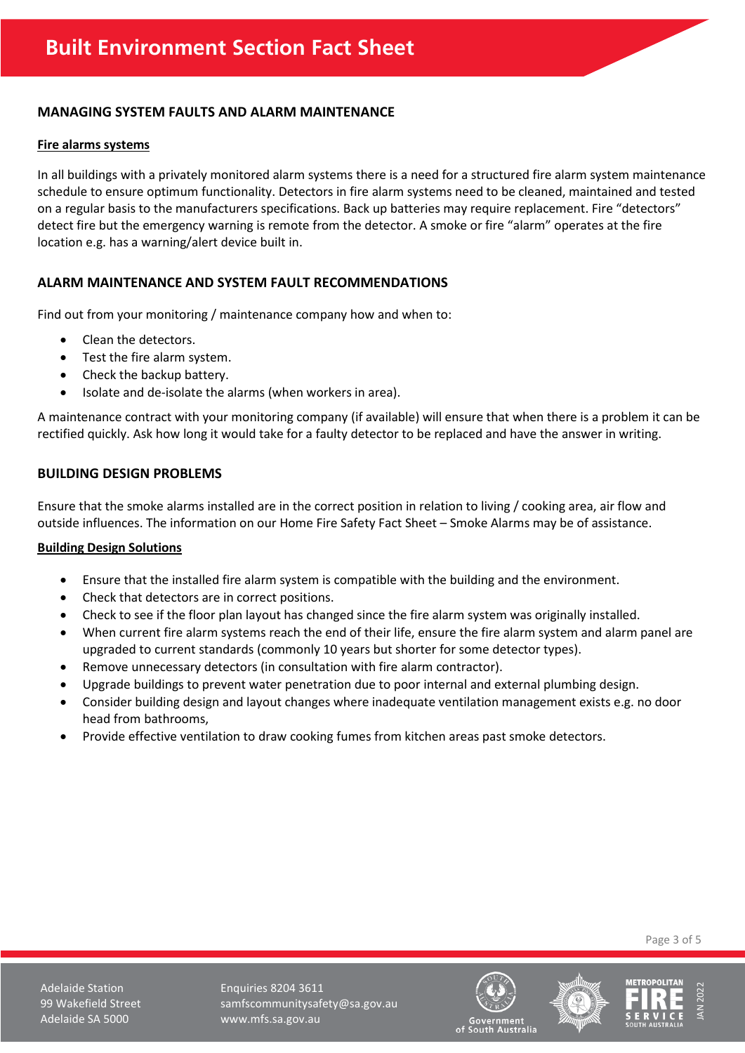# <span id="page-2-0"></span>**MANAGING SYSTEM FAULTS AND ALARM MAINTENANCE**

#### **Fire alarms systems**

In all buildings with a privately monitored alarm systems there is a need for a structured fire alarm system maintenance schedule to ensure optimum functionality. Detectors in fire alarm systems need to be cleaned, maintained and tested on a regular basis to the manufacturers specifications. Back up batteries may require replacement. Fire "detectors" detect fire but the emergency warning is remote from the detector. A smoke or fire "alarm" operates at the fire location e.g. has a warning/alert device built in.

# <span id="page-2-1"></span>**ALARM MAINTENANCE AND SYSTEM FAULT RECOMMENDATIONS**

Find out from your monitoring / maintenance company how and when to:

- Clean the detectors.
- Test the fire alarm system.
- Check the backup battery.
- Isolate and de-isolate the alarms (when workers in area).

A maintenance contract with your monitoring company (if available) will ensure that when there is a problem it can be rectified quickly. Ask how long it would take for a faulty detector to be replaced and have the answer in writing.

#### <span id="page-2-2"></span>**BUILDING DESIGN PROBLEMS**

Ensure that the smoke alarms installed are in the correct position in relation to living / cooking area, air flow and outside influences. The information on our Home Fire Safety Fact Sheet – Smoke Alarms may be of assistance.

#### <span id="page-2-3"></span>**Building Design Solutions**

- Ensure that the installed fire alarm system is compatible with the building and the environment.
- Check that detectors are in correct positions.
- Check to see if the floor plan layout has changed since the fire alarm system was originally installed.
- When current fire alarm systems reach the end of their life, ensure the fire alarm system and alarm panel are upgraded to current standards (commonly 10 years but shorter for some detector types).
- Remove unnecessary detectors (in consultation with fire alarm contractor).
- Upgrade buildings to prevent water penetration due to poor internal and external plumbing design.
- Consider building design and layout changes where inadequate ventilation management exists e.g. no door head from bathrooms,
- <span id="page-2-4"></span>• Provide effective ventilation to draw cooking fumes from kitchen areas past smoke detectors.

Page 3 of 5

Adelaide Station **Enquiries 8204 3611** 99 Wakefield Street samfscommunitysafety@sa.gov.au Adelaide SA 5000 www.mfs.sa.gov.au





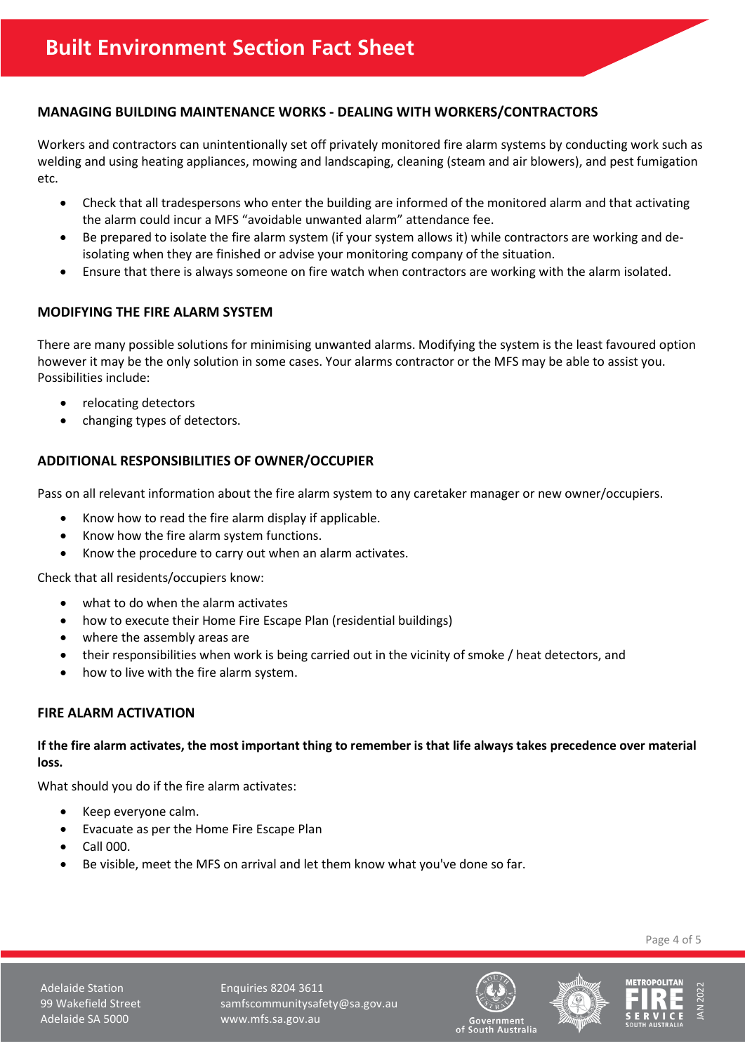# **MANAGING BUILDING MAINTENANCE WORKS - DEALING WITH WORKERS/CONTRACTORS**

Workers and contractors can unintentionally set off privately monitored fire alarm systems by conducting work such as welding and using heating appliances, mowing and landscaping, cleaning (steam and air blowers), and pest fumigation etc.

- Check that all tradespersons who enter the building are informed of the monitored alarm and that activating the alarm could incur a MFS "avoidable unwanted alarm" attendance fee.
- Be prepared to isolate the fire alarm system (if your system allows it) while contractors are working and deisolating when they are finished or advise your monitoring company of the situation.
- Ensure that there is always someone on fire watch when contractors are working with the alarm isolated.

#### <span id="page-3-0"></span>**MODIFYING THE FIRE ALARM SYSTEM**

There are many possible solutions for minimising unwanted alarms. Modifying the system is the least favoured option however it may be the only solution in some cases. Your alarms contractor or the MFS may be able to assist you. Possibilities include:

- relocating detectors
- changing types of detectors.

# <span id="page-3-1"></span>**ADDITIONAL RESPONSIBILITIES OF OWNER/OCCUPIER**

Pass on all relevant information about the fire alarm system to any caretaker manager or new owner/occupiers.

- Know how to read the fire alarm display if applicable.
- Know how the fire alarm system functions.
- Know the procedure to carry out when an alarm activates.

Check that all residents/occupiers know:

- what to do when the alarm activates
- how to execute their Home Fire Escape Plan (residential buildings)
- where the assembly areas are
- their responsibilities when work is being carried out in the vicinity of smoke / heat detectors, and
- how to live with the fire alarm system.

#### <span id="page-3-2"></span>**FIRE ALARM ACTIVATION**

#### **If the fire alarm activates, the most important thing to remember is that life always takes precedence over material loss.**

What should you do if the fire alarm activates:

- Keep everyone calm.
- Evacuate as per the Home Fire Escape Plan
- Call 000.
- Be visible, meet the MFS on arrival and let them know what you've done so far.

Page 4 of 5

Adelaide Station **Enquiries 8204 3611** 99 Wakefield Street samfscommunitysafety@sa.gov.au Adelaide SA 5000 www.mfs.sa.gov.au